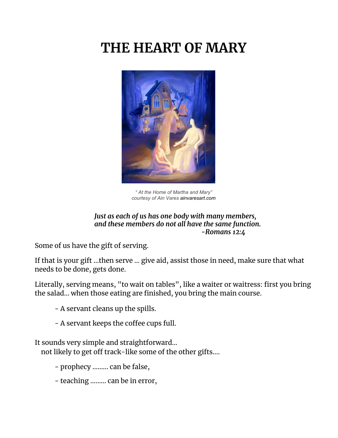# **THE HEART OF MARY**



*" At the Home of Martha and Mary" courtesy of Ain Vares ainvaresart.com*

#### *Just as each of us has one body with many members, and these members do not all have the same function. -Romans 12:4*

Some of us have the gift of serving.

If that is your gift ...then serve ... give aid, assist those in need, make sure that what needs to be done, gets done.

Literally, serving means, "to wait on tables", like a waiter or waitress: first you bring the salad... when those eating are finished, you bring the main course.

- A servant cleans up the spills.

- A servant keeps the coffee cups full.

It sounds very simple and straightforward…

not likely to get off track-like some of the other gifts....

- prophecy ......... can be false,
- teaching ......... can be in error,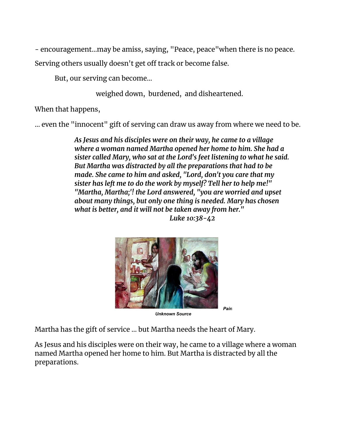- encouragement...may be amiss, saying, "Peace, peace"when there is no peace.

Serving others usually doesn't get off track or become false.

But, our serving can become...

weighed down, burdened, and disheartened.

When that happens,

… even the "innocent" gift of serving can draw us away from where we need to be.

*As Jesus and his disciples were on their way, he came to a village where a woman named Martha opened her home to him. She had a sister called Mary, who sat at the Lord's feet listening to what he said. But Martha was distracted by all the preparations that had to be made. She came to him and asked, "Lord, don't you care that my sister has left me to do the work by myself? Tell her to help me!" "Martha, Martha;'! the Lord answered, "you are worried and upset about many things, but only one thing is needed. Mary has chosen what is better, and it will not be taken away from her." Luke 10:38-42*



*Unknown Source*

*Pain*

Martha has the gift of service ... but Martha needs the heart of Mary.

As Jesus and his disciples were on their way, he came to a village where a woman named Martha opened her home to him. But Martha is distracted by all the preparations.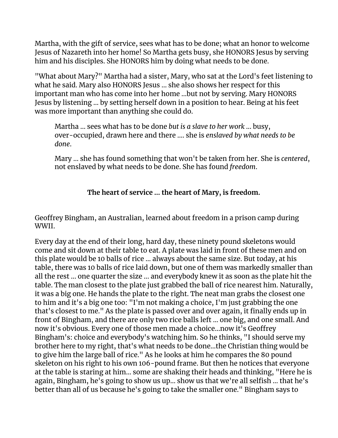Martha, with the gift of service, sees what has to be done; what an honor to welcome Jesus of Nazareth into her home! So Martha gets busy, she HONORS Jesus by serving him and his disciples. She HONORS him by doing what needs to be done.

"What about Mary?" Martha had a sister, Mary, who sat at the Lord's feet listening to what he said. Mary also HONORS Jesus ... she also shows her respect for this important man who has come into her home ...but not by serving. Mary HONORS Jesus by listening ... by setting herself down in a position to hear. Being at his feet was more important than anything she could do.

Martha ... sees what has to be done *but is a slave to her work* ... busy, over-occupied, drawn here and there .... she is *enslaved by what needs to be done*.

Mary ... she has found something that won't be taken from her. She is *centered*, not enslaved by what needs to be done. She has found *freedom*.

#### **The heart of service … the heart of Mary, is freedom.**

Geoffrey Bingham, an Australian, learned about freedom in a prison camp during WWII.

Every day at the end of their long, hard day, these ninety pound skeletons would come and sit down at their table to eat. A plate was laid in front of these men and on this plate would be 10 balls of rice ... always about the same size. But today, at his table, there was 10 balls of rice laid down, but one of them was markedly smaller than all the rest ... one quarter the size ... and everybody knew it as soon as the plate hit the table. The man closest to the plate just grabbed the ball of rice nearest him. Naturally, it was a big one. He hands the plate to the right. The neat man grabs the closest one to him and it's a big one too: "I'm not making a choice, I'm just grabbing the one that's closest to me." As the plate is passed over and over again, it finally ends up in front of Bingham, and there are only two rice balls left ... one big, and one small. And now it's obvious. Every one of those men made a choice...now it's Geoffrey Bingham's: choice and everybody's watching him. So he thinks, "I should serve my brother here to my right, that's what needs to be done...the Christian thing would be to give him the large ball of rice." As he looks at him he compares the 80 pound skeleton on his right to his own 106-pound frame. But then he notices that everyone at the table is staring at him... some are shaking their heads and thinking, "Here he is again, Bingham, he's going to show us up... show us that we're all selfish ... that he's better than all of us because he's going to take the smaller one." Bingham says to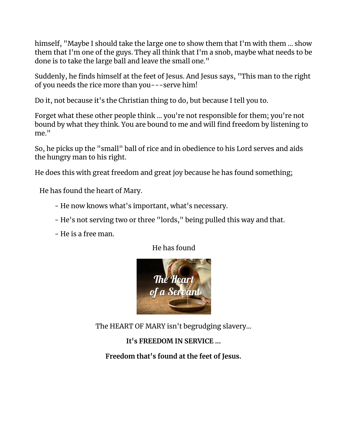himself, "Maybe I should take the large one to show them that I'm with them ... show them that I'm one of the guys. They all think that I'm a snob, maybe what needs to be done is to take the large ball and leave the small one."

Suddenly, he finds himself at the feet of Jesus. And Jesus says, "This man to the right of you needs the rice more than you---serve him!

Do it, not because it's the Christian thing to do, but because I tell you to.

Forget what these other people think ... you're not responsible for them; you're not bound by what they think. You are bound to me and will find freedom by listening to me."

So, he picks up the "small" ball of rice and in obedience to his Lord serves and aids the hungry man to his right.

He does this with great freedom and great joy because he has found something;

He has found the heart of Mary.

- He now knows what's important, what's necessary.
- He's not serving two or three "lords," being pulled this way and that.
- He is a free man.

He has found



The HEART OF MARY isn't begrudging slavery...

# **It's FREEDOM IN SERVICE ...**

**Freedom that's found at the feet of Jesus.**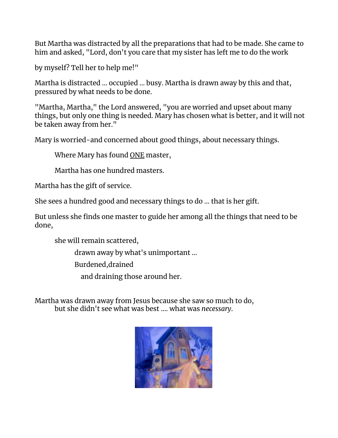But Martha was distracted by all the preparations that had to be made. She came to him and asked, "Lord, don't you care that my sister has left me to do the work

by myself? Tell her to help me!"

Martha is distracted ... occupied ... busy. Martha is drawn away by this and that, pressured by what needs to be done.

"Martha, Martha," the Lord answered, "you are worried and upset about many things, but only one thing is needed. Mary has chosen what is better, and it will not be taken away from her."

Mary is worried-and concerned about good things, about necessary things.

Where Mary has found ONE master,

Martha has one hundred masters.

Martha has the gift of service.

She sees a hundred good and necessary things to do ... that is her gift.

But unless she finds one master to guide her among all the things that need to be done,

she will remain scattered,

drawn away by what's unimportant ...

Burdened,drained

and draining those around her.

Martha was drawn away from Jesus because she saw so much to do, but she didn't see what was best .... what was *necessary*.

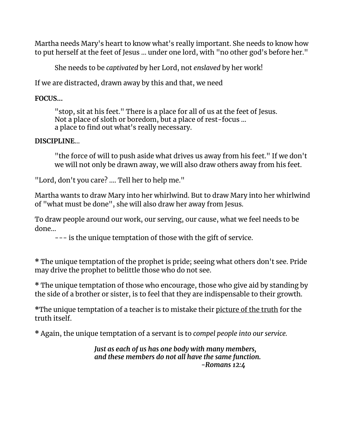Martha needs Mary's heart to know what's really important. She needs to know how to put herself at the feet of Jesus ... under one lord, with "no other god's before her."

She needs to be *captivated* by her Lord, not *enslaved* by her work!

If we are distracted, drawn away by this and that, we need

**FOCUS...**

"stop, sit at his feet." There is a place for all of us at the feet of Jesus. Not a place of sloth or boredom, but a place of rest-focus ... a place to find out what's really necessary.

#### **DISCIPLINE**…

"the force of will to push aside what drives us away from his feet." If we don't we will not only be drawn away, we will also draw others away from his feet.

"Lord, don't you care? .... Tell her to help me."

Martha wants to draw Mary into her whirlwind. But to draw Mary into her whirlwind of "what must be done", she will also draw her away from Jesus.

To draw people around our work, our serving, our cause, what we feel needs to be done…

--- is the unique temptation of those with the gift of service.

**\*** The unique temptation of the prophet is pride; seeing what others don't see. Pride may drive the prophet to belittle those who do not see.

**\*** The unique temptation of those who encourage, those who give aid by standing by the side of a brother or sister, is to feel that they are indispensable to their growth.

**\***The unique temptation of a teacher is to mistake their picture of the truth for the truth itself.

**\*** Again, the unique temptation of a servant is to *compel people into our service.*

*Just as each of us has one body with many members, and these members do not all have the same function. -Romans 12:4*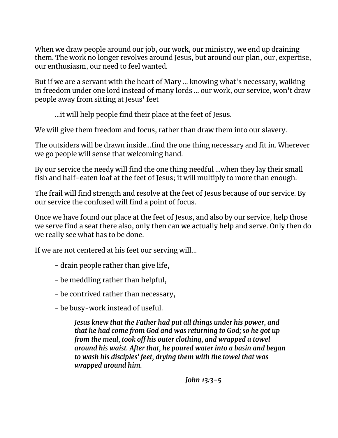When we draw people around our job, our work, our ministry, we end up draining them. The work no longer revolves around Jesus, but around our plan, our, expertise, our enthusiasm, our need to feel wanted.

But if we are a servant with the heart of Mary ... knowing what's necessary, walking in freedom under one lord instead of many lords ... our work, our service, won't draw people away from sitting at Jesus' feet

...it will help people find their place at the feet of Jesus.

We will give them freedom and focus, rather than draw them into our slavery.

The outsiders will be drawn inside...find the one thing necessary and fit in. Wherever we go people will sense that welcoming hand.

By our service the needy will find the one thing needful ...when they lay their small fish and half-eaten loaf at the feet of Jesus; it will multiply to more than enough.

The frail will find strength and resolve at the feet of Jesus because of our service. By our service the confused will find a point of focus.

Once we have found our place at the feet of Jesus, and also by our service, help those we serve find a seat there also, only then can we actually help and serve. Only then do we really see what has to be done.

If we are not centered at his feet our serving will...

- drain people rather than give life,
- be meddling rather than helpful,
- be contrived rather than necessary,
- be busy-work instead of useful.

*Jesus knew that the Father had put all things under his power, and that he had come from God and was returning to God; so he got up from the meal, took off his outer clothing, and wrapped a towel around his waist. After that, he poured water into a basin and began to wash his disciples' feet, drying them with the towel that was wrapped around him.*

*John 13:3-5*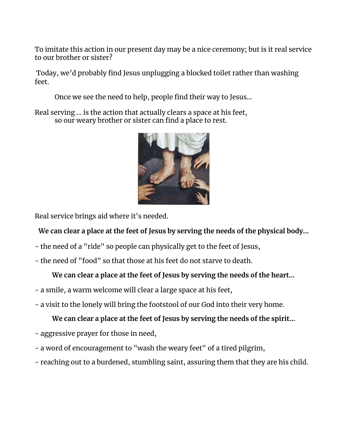To imitate this action in our present day may be a nice ceremony; but is it real service to our brother or sister?

Today, we'd probably find Jesus unplugging a blocked toilet rather than washing feet.

Once we see the need to help, people find their way to Jesus...

Real serving ... is the action that actually clears a space at his feet, so our weary brother or sister can find a place to rest.



Real service brings aid where it's needed.

# **We can clear a place at the feet of Jesus by serving the needs of the physical body...**

- the need of a "ride" so people can physically get to the feet of Jesus,
- the need of "food" so that those at his feet do not starve to death.

# **We can clear a place at the feet of Jesus by serving the needs of the heart...**

- a smile, a warm welcome will clear a large space at his feet,
- a visit to the lonely will bring the footstool of our God into their very home.

# **We can clear a place at the feet of Jesus by serving the needs of the spirit...**

- aggressive prayer for those in need,
- a word of encouragement to "wash the weary feet" of a tired pilgrim,
- reaching out to a burdened, stumbling saint, assuring them that they are his child.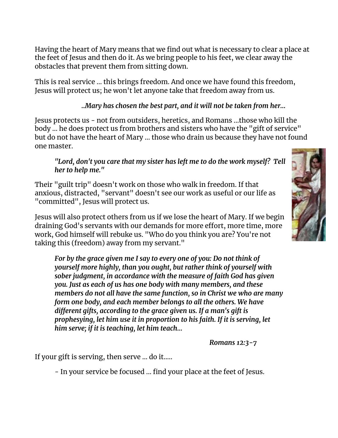Having the heart of Mary means that we find out what is necessary to clear a place at the feet of Jesus and then do it. As we bring people to his feet, we clear away the obstacles that prevent them from sitting down.

This is real service ... this brings freedom. And once we have found this freedom, Jesus will protect us; he won't let anyone take that freedom away from us.

### *..Mary has chosen the best part, and it will not be taken from her...*

Jesus protects us - not from outsiders, heretics, and Romans ...those who kill the body ... he does protect us from brothers and sisters who have the "gift of service" but do not have the heart of Mary ... those who drain us because they have not found one master.

#### *"Lord, don't you care that my sister has left me to do the work myself? Tell her to help me."*

Their "guilt trip" doesn't work on those who walk in freedom. If that anxious, distracted, "servant" doesn't see our work as useful or our life as "committed", Jesus will protect us.

Jesus will also protect others from us if we lose the heart of Mary. If we begin draining God's servants with our demands for more effort, more time, more work, God himself will rebuke us. "Who do you think you are? You're not taking this (freedom) away from my servant."

*For by the grace given me I say to every one of you: Do not think of yourself more highly, than you ought, but rather think of yourself with sober judgment, in accordance with the measure of faith God has given you. Just as each of us has one body with many members, and these members do not all have the same function, so in Christ we who are many form one body, and each member belongs to all the others. We have different gifts, according to the grace given us. If a man's gift is prophesying, let him use it in proportion to his faith. If it is serving, let him serve; if it is teaching, let him teach…*

*Romans 12:3-7*

If your gift is serving, then serve ... do it.....

- In your service be focused ... find your place at the feet of Jesus.